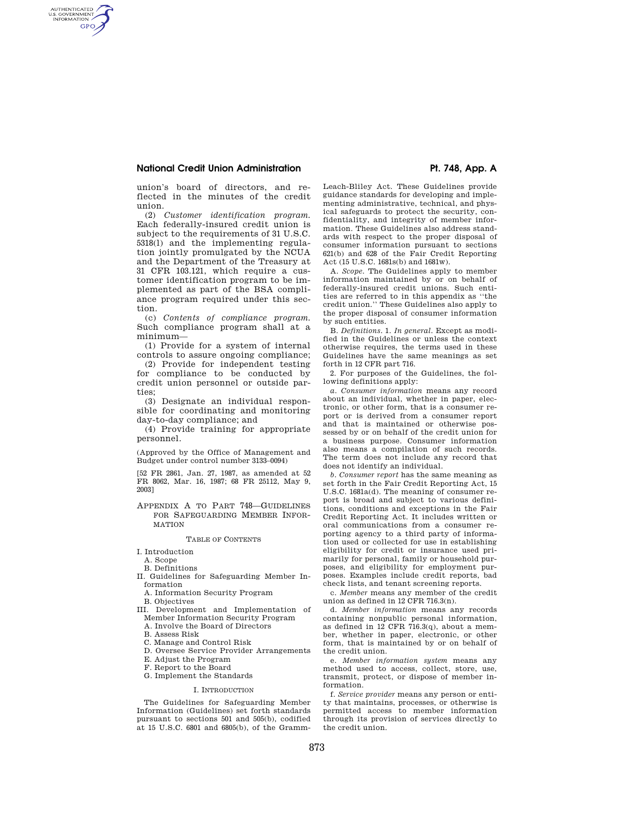# **National Credit Union Administration Pt. 748, App. A**

AUTHENTICATED<br>U.S. GOVERNMENT<br>INFORMATION **GPO** 

> union's board of directors, and reflected in the minutes of the credit union.

> (2) *Customer identification program.*  Each federally-insured credit union is subject to the requirements of 31 U.S.C. 5318(l) and the implementing regulation jointly promulgated by the NCUA and the Department of the Treasury at 31 CFR 103.121, which require a customer identification program to be implemented as part of the BSA compliance program required under this section.

> (c) *Contents of compliance program.*  Such compliance program shall at a minimum—

> (1) Provide for a system of internal controls to assure ongoing compliance;

> (2) Provide for independent testing for compliance to be conducted by credit union personnel or outside parties;

> (3) Designate an individual responsible for coordinating and monitoring day-to-day compliance; and

> (4) Provide training for appropriate personnel.

> (Approved by the Office of Management and Budget under control number 3133–0094)

[52 FR 2861, Jan. 27, 1987, as amended at 52 FR 8062, Mar. 16, 1987; 68 FR 25112, May 9, 2003]

APPENDIX A TO PART 748—GUIDELINES FOR SAFEGUARDING MEMBER INFOR-MATION

### TABLE OF CONTENTS

I. Introduction

- A. Scope
- B. Definitions

II. Guidelines for Safeguarding Member Information

A. Information Security Program

B. Objectives

III. Development and Implementation of Member Information Security Program

A. Involve the Board of Directors

- B. Assess Risk
- C. Manage and Control Risk

D. Oversee Service Provider Arrangements

E. Adjust the Program

F. Report to the Board

G. Implement the Standards

### I. INTRODUCTION

The Guidelines for Safeguarding Member Information (Guidelines) set forth standards pursuant to sections 501 and 505(b), codified at 15 U.S.C. 6801 and 6805(b), of the GrammLeach-Bliley Act. These Guidelines provide guidance standards for developing and implementing administrative, technical, and physical safeguards to protect the security, confidentiality, and integrity of member information. These Guidelines also address standards with respect to the proper disposal of consumer information pursuant to sections 621(b) and 628 of the Fair Credit Reporting Act (15 U.S.C. 1681s(b) and 1681w).

A. *Scope.* The Guidelines apply to member information maintained by or on behalf of federally-insured credit unions. Such entities are referred to in this appendix as ''the credit union.'' These Guidelines also apply to the proper disposal of consumer information by such entities.

B. *Definitions.* 1. *In general.* Except as modified in the Guidelines or unless the context otherwise requires, the terms used in these Guidelines have the same meanings as set forth in 12 CFR part 716.

2. For purposes of the Guidelines, the following definitions apply:

*a. Consumer information* means any record about an individual, whether in paper, electronic, or other form, that is a consumer report or is derived from a consumer report and that is maintained or otherwise possessed by or on behalf of the credit union for a business purpose. Consumer information also means a compilation of such records. The term does not include any record that does not identify an individual.

*b. Consumer report* has the same meaning as set forth in the Fair Credit Reporting Act, 15 U.S.C. 1681a(d). The meaning of consumer report is broad and subject to various definitions, conditions and exceptions in the Fair Credit Reporting Act. It includes written or oral communications from a consumer reporting agency to a third party of information used or collected for use in establishing eligibility for credit or insurance used primarily for personal, family or household purposes, and eligibility for employment purposes. Examples include credit reports, bad check lists, and tenant screening reports.

c. *Member* means any member of the credit union as defined in 12 CFR 716.3(n).

d. *Member information* means any records containing nonpublic personal information, as defined in 12 CFR 716.3(q), about a member, whether in paper, electronic, or other form, that is maintained by or on behalf of the credit union.

e. *Member information system* means any method used to access, collect, store, use, transmit, protect, or dispose of member information.

f. *Service provider* means any person or entity that maintains, processes, or otherwise is permitted access to member information through its provision of services directly to the credit union.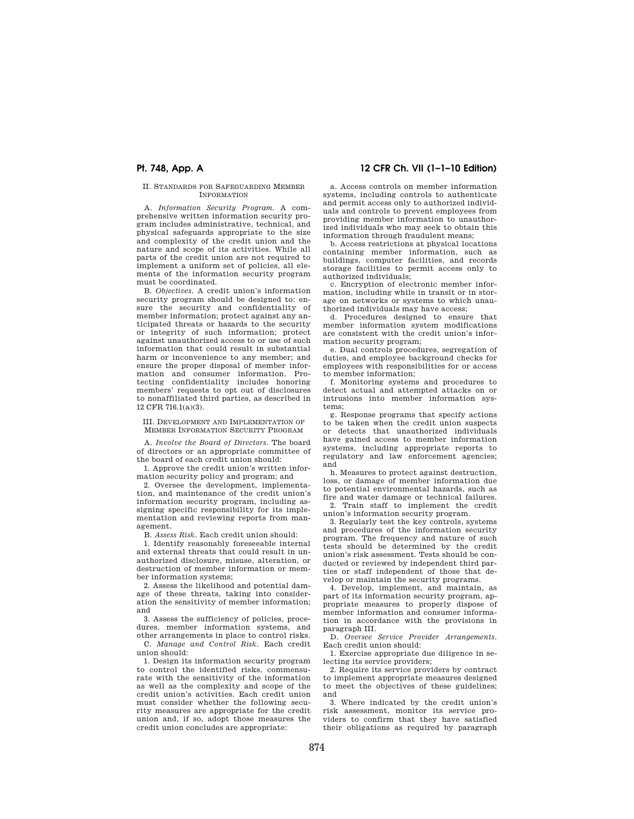## II. STANDARDS FOR SAFEGUARDING MEMBER INFORMATION

A. *Information Security Program.* A comprehensive written information security program includes administrative, technical, and physical safeguards appropriate to the size and complexity of the credit union and the nature and scope of its activities. While all parts of the credit union are not required to implement a uniform set of policies, all elements of the information security program must be coordinated.

B. *Objectives.* A credit union's information security program should be designed to: ensure the security and confidentiality of member information; protect against any anticipated threats or hazards to the security or integrity of such information; protect against unauthorized access to or use of such information that could result in substantial harm or inconvenience to any member; and ensure the proper disposal of member information and consumer information. Protecting confidentiality includes honoring members' requests to opt out of disclosures to nonaffiliated third parties, as described in 12 CFR 716.1(a)(3).

III. DEVELOPMENT AND IMPLEMENTATION OF MEMBER INFORMATION SECURITY PROGRAM

A. *Involve the Board of Directors.* The board of directors or an appropriate committee of the board of each credit union should:

1. Approve the credit union's written information security policy and program; and

2. Oversee the development, implementation, and maintenance of the credit union's information security program, including assigning specific responsibility for its implementation and reviewing reports from management.

B. *Assess Risk.* Each credit union should:

1. Identify reasonably foreseeable internal and external threats that could result in unauthorized disclosure, misuse, alteration, or destruction of member information or member information systems;

2. Assess the likelihood and potential damage of these threats, taking into consideration the sensitivity of member information; and

3. Assess the sufficiency of policies, procedures, member information systems, and other arrangements in place to control risks.

C. *Manage and Control Risk.* Each credit union should:

1. Design its information security program to control the identified risks, commensurate with the sensitivity of the information as well as the complexity and scope of the credit union's activities. Each credit union must consider whether the following security measures are appropriate for the credit union and, if so, adopt those measures the credit union concludes are appropriate:

# **Pt. 748, App. A 12 CFR Ch. VII (1–1–10 Edition)**

a. Access controls on member information systems, including controls to authenticate and permit access only to authorized individuals and controls to prevent employees from providing member information to unauthorized individuals who may seek to obtain this information through fraudulent means;

b. Access restrictions at physical locations containing member information, such as buildings, computer facilities, and records storage facilities to permit access only to authorized individuals;

c. Encryption of electronic member information, including while in transit or in storage on networks or systems to which unauthorized individuals may have access;

d. Procedures designed to ensure that member information system modifications are consistent with the credit union's information security program;

e. Dual controls procedures, segregation of duties, and employee background checks for employees with responsibilities for or access to member information;

f. Monitoring systems and procedures to detect actual and attempted attacks on or intrusions into member information systems;

g. Response programs that specify actions to be taken when the credit union suspects or detects that unauthorized individuals have gained access to member information systems, including appropriate reports to regulatory and law enforcement agencies; and

h. Measures to protect against destruction, loss, or damage of member information due to potential environmental hazards, such as fire and water damage or technical failures.

2. Train staff to implement the credit union's information security program.

3. Regularly test the key controls, systems and procedures of the information security program. The frequency and nature of such tests should be determined by the credit union's risk assessment. Tests should be conducted or reviewed by independent third parties or staff independent of those that develop or maintain the security programs.

4. Develop, implement, and maintain, as part of its information security program, appropriate measures to properly dispose of member information and consumer information in accordance with the provisions in paragraph III.

D. *Oversee Service Provider Arrangements.*  Each credit union should:

1. Exercise appropriate due diligence in selecting its service providers;

2. Require its service providers by contract to implement appropriate measures designed to meet the objectives of these guidelines; and

3. Where indicated by the credit union's risk assessment, monitor its service providers to confirm that they have satisfied their obligations as required by paragraph